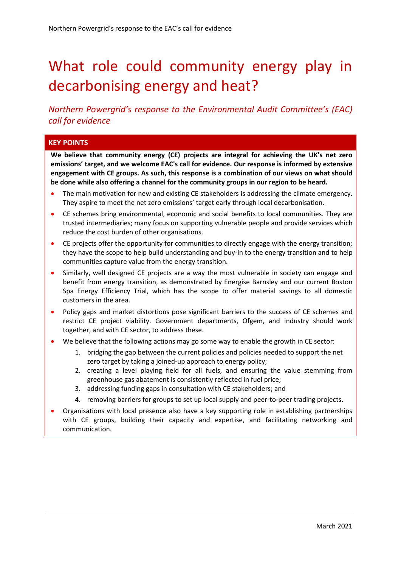# What role could community energy play in decarbonising energy and heat?

*Northern Powergrid's response to the Environmental Audit Committee's (EAC) call for evidence*

#### **KEY POINTS**

**We believe that community energy (CE) projects are integral for achieving the UK's net zero emissions' target, and we welcome EAC's call for evidence. Our response is informed by extensive engagement with CE groups. As such, this response is a combination of our views on what should be done while also offering a channel for the community groups in our region to be heard.**

- The main motivation for new and existing CE stakeholders is addressing the climate emergency. They aspire to meet the net zero emissions' target early through local decarbonisation.
- CE schemes bring environmental, economic and social benefits to local communities. They are trusted intermediaries; many focus on supporting vulnerable people and provide services which reduce the cost burden of other organisations.
- CE projects offer the opportunity for communities to directly engage with the energy transition; they have the scope to help build understanding and buy-in to the energy transition and to help communities capture value from the energy transition.
- Similarly, well designed CE projects are a way the most vulnerable in society can engage and benefit from energy transition, as demonstrated by Energise Barnsley and our current Boston Spa Energy Efficiency Trial, which has the scope to offer material savings to all domestic customers in the area.
- Policy gaps and market distortions pose significant barriers to the success of CE schemes and restrict CE project viability. Government departments, Ofgem, and industry should work together, and with CE sector, to address these.
- We believe that the following actions may go some way to enable the growth in CE sector:
	- 1. bridging the gap between the current policies and policies needed to support the net zero target by taking a joined-up approach to energy policy;
	- 2. creating a level playing field for all fuels, and ensuring the value stemming from greenhouse gas abatement is consistently reflected in fuel price;
	- 3. addressing funding gaps in consultation with CE stakeholders; and
	- 4. removing barriers for groups to set up local supply and peer-to-peer trading projects.
- Organisations with local presence also have a key supporting role in establishing partnerships with CE groups, building their capacity and expertise, and facilitating networking and communication.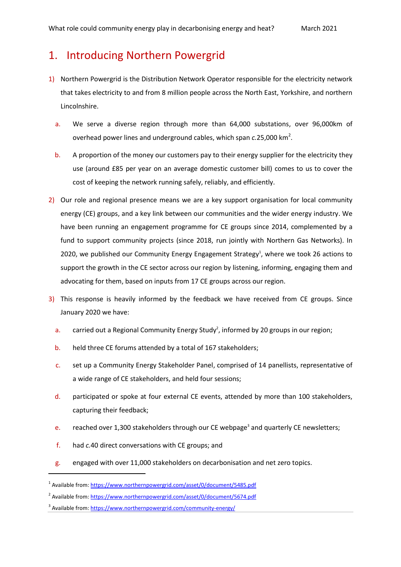# 1. Introducing Northern Powergrid

- 1) Northern Powergrid is the Distribution Network Operator responsible for the electricity network that takes electricity to and from 8 million people across the North East, Yorkshire, and northern Lincolnshire.
	- a. We serve a diverse region through more than 64,000 substations, over 96,000km of overhead power lines and underground cables, which span *c*.25,000 km<sup>2</sup>.
	- b. A proportion of the money our customers pay to their energy supplier for the electricity they use (around £85 per year on an average domestic customer bill) comes to us to cover the cost of keeping the network running safely, reliably, and efficiently.
- 2) Our role and regional presence means we are a key support organisation for local community energy (CE) groups, and a key link between our communities and the wider energy industry. We have been running an engagement programme for CE groups since 2014, complemented by a fund to support community projects (since 2018, run jointly with Northern Gas Networks). In 2020, we published our Community Energy Engagement Strategy<sup>1</sup>, where we took 26 actions to support the growth in the CE sector across our region by listening, informing, engaging them and advocating for them, based on inputs from 17 CE groups across our region.
- <span id="page-1-1"></span><span id="page-1-0"></span>3) This response is heavily informed by the feedback we have received from CE groups. Since January 2020 we have:
	- a. carried out a Regional Community Energy Study<sup>2</sup>, informed by 20 groups in our region;
	- b. held three CE forums attended by a total of 167 stakeholders;
	- c. set up a Community Energy Stakeholder Panel, comprised of 14 panellists, representative of a wide range of CE stakeholders, and held four sessions;
	- d. participated or spoke at four external CE events, attended by more than 100 stakeholders, capturing their feedback;
	- e. reached over 1,300 stakeholders through our CE webpage<sup>3</sup> and quarterly CE newsletters;
	- f. had *c.*40 direct conversations with CE groups; and

1

 $g<sub>1</sub>$  engaged with over 11,000 stakeholders on decarbonisation and net zero topics.

<sup>&</sup>lt;sup>1</sup> Available from[: https://www.northernpowergrid.com/asset/0/document/5485.pdf](https://www.northernpowergrid.com/asset/0/document/5485.pdf)

<sup>&</sup>lt;sup>2</sup> Available from: <https://www.northernpowergrid.com/asset/0/document/5674.pdf>

<sup>&</sup>lt;sup>3</sup> Available from[: https://www.northernpowergrid.com/community-energy/](https://www.northernpowergrid.com/community-energy/)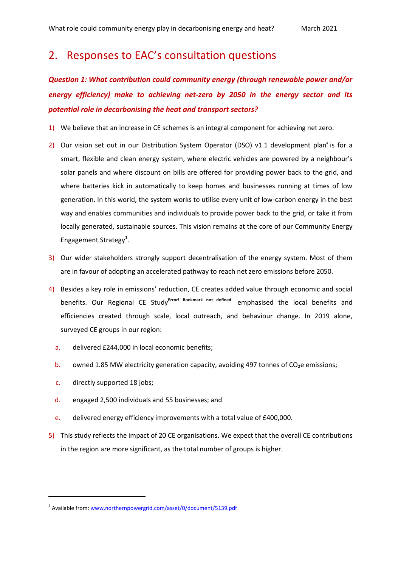# 2. Responses to EAC's consultation questions

*Question 1: What contribution could community energy (through renewable power and/or energy efficiency) make to achieving net-zero by 2050 in the energy sector and its potential role in decarbonising the heat and transport sectors?*

- 1) We believe that an increase in CE schemes is an integral component for achieving net zero.
- 2) Our vision set out in our Distribution System Operator (DSO) v1.1 development plan<sup>4</sup> is for a smart, flexible and clean energy system, where electric vehicles are powered by a neighbour's solar panels and where discount on bills are offered for providing power back to the grid, and where batteries kick in automatically to keep homes and businesses running at times of low generation. In this world, the system works to utilise every unit of low-carbon energy in the best way and enables communities and individuals to provide power back to the grid, or take it from locally generated, sustainable sources. This vision remains at the core of our Community Energy Engagement Strateg[y](#page-1-0)<sup>1</sup>.
- 3) Our wider stakeholders strongly support decentralisation of the energy system. Most of them are in favour of adopting an accelerated pathway to reach net zero emissions before 2050.
- 4) Besides a key role in emissions' reduction, CE creates added value through economic and social benefits. Our Regional CE Study**Error! Bookmark not defined.** emphasised the local benefits and efficiencies created through scale, local outreach, and behaviour change. In 2019 alone, surveyed CE groups in our region:
	- a. delivered £244,000 in local economic benefits;
	- b. owned 1.85 MW electricity generation capacity, avoiding 497 tonnes of CO<sub>2</sub>e emissions;
	- c. directly supported 18 jobs;

**.** 

- d. engaged 2,500 individuals and 55 businesses; and
- e. delivered energy efficiency improvements with a total value of £400,000.
- 5) This study reflects the impact of 20 CE organisations. We expect that the overall CE contributions in the region are more significant, as the total number of groups is higher.

<sup>&</sup>lt;sup>4</sup> Available from[: www.northernpowergrid.com/asset/0/document/5139.pdf](http://www.northernpowergrid.com/asset/0/document/5139.pdf)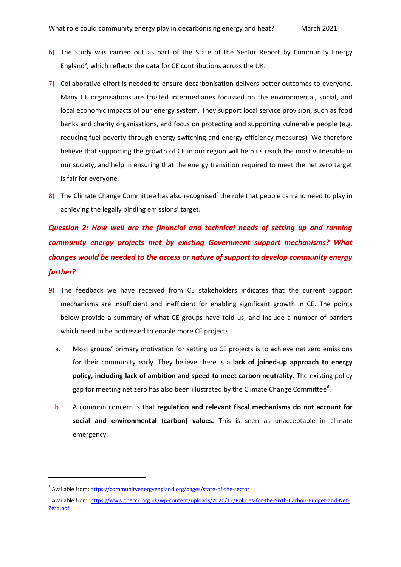- 6) The study was carried out as part of the State of the Sector Report by Community Energy England<sup>5</sup>, which reflects the data for CE contributions across the UK.
- 7) Collaborative effort is needed to ensure decarbonisation delivers better outcomes to everyone. Many CE organisations are trusted intermediaries focussed on the environmental, social, and local economic impacts of our energy system. They support local service provision, such as food banks and charity organisations, and focus on protecting and supporting vulnerable people (e.g. reducing fuel poverty through energy switching and energy efficiency measures). We therefore believe that supporting the growth of CE in our region will help us reach the most vulnerable in our society, and help in ensuring that the energy transition required to meet the net zero target is fair for everyone.
- <span id="page-3-0"></span>8) The Climate Change Committee has also recognised $6$  the role that people can and need to play in achieving the legally binding emissions' target.

# *Question 2: How well are the financial and technical needs of setting up and running community energy projects met by existing Government support mechanisms? What changes would be needed to the access or nature of support to develop community energy further?*

- 9) The feedback we have received from CE stakeholders indicates that the current support mechanisms are insufficient and inefficient for enabling significant growth in CE. The points below provide a summary of what CE groups have told us, and include a number of barriers which need to be addressed to enable more CE projects.
	- a. Most groups' primary motivation for setting up CE projects is to achieve net zero emissions for their community early. They believe there is a **lack of joined-up approach to energy policy, including lack of ambition and speed to meet carbon neutrality.** The existing policy gap for m[e](#page-3-0)eting net zero has also been illustrated by the Climate Change Committee<sup>6</sup>.
	- b. A common concern is that **regulation and relevant fiscal mechanisms do not account for social and environmental (carbon) values.** This is seen as unacceptable in climate emergency.

1

<sup>&</sup>lt;sup>5</sup> Available from[: https://communityenergyengland.org/pages/state-of-the-sector](https://communityenergyengland.org/pages/state-of-the-sector)

<sup>&</sup>lt;sup>6</sup> Available from: [https://www.theccc.org.uk/wp-content/uploads/2020/12/Policies-for-the-Sixth-Carbon-Budget-and-Net-](https://www.theccc.org.uk/wp-content/uploads/2020/12/Policies-for-the-Sixth-Carbon-Budget-and-Net-Zero.pdf)[Zero.pdf](https://www.theccc.org.uk/wp-content/uploads/2020/12/Policies-for-the-Sixth-Carbon-Budget-and-Net-Zero.pdf)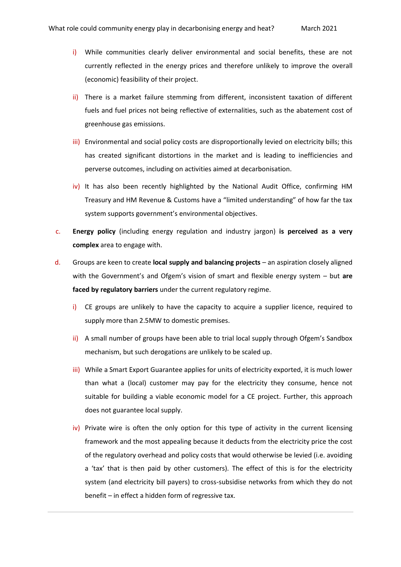- i) While communities clearly deliver environmental and social benefits, these are not currently reflected in the energy prices and therefore unlikely to improve the overall (economic) feasibility of their project.
- ii) There is a market failure stemming from different, inconsistent taxation of different fuels and fuel prices not being reflective of externalities, such as the abatement cost of greenhouse gas emissions.
- iii) Environmental and social policy costs are disproportionally levied on electricity bills; this has created significant distortions in the market and is leading to inefficiencies and perverse outcomes, including on activities aimed at decarbonisation.
- iv) It has also been recently highlighted by the National Audit Office, confirming HM Treasury and HM Revenue & Customs have a "limited understanding" of how far the tax system supports government's environmental objectives.
- c. **Energy policy** (including energy regulation and industry jargon) **is perceived as a very complex** area to engage with.
- d. Groups are keen to create **local supply and balancing projects** an aspiration closely aligned with the Government's and Ofgem's vision of smart and flexible energy system – but **are faced by regulatory barriers** under the current regulatory regime.
	- i) CE groups are unlikely to have the capacity to acquire a supplier licence, required to supply more than 2.5MW to domestic premises.
	- ii) A small number of groups have been able to trial local supply through Ofgem's Sandbox mechanism, but such derogations are unlikely to be scaled up.
	- iii) While a Smart Export Guarantee applies for units of electricity exported, it is much lower than what a (local) customer may pay for the electricity they consume, hence not suitable for building a viable economic model for a CE project. Further, this approach does not guarantee local supply.
	- iv) Private wire is often the only option for this type of activity in the current licensing framework and the most appealing because it deducts from the electricity price the cost of the regulatory overhead and policy costs that would otherwise be levied (i.e. avoiding a 'tax' that is then paid by other customers). The effect of this is for the electricity system (and electricity bill payers) to cross-subsidise networks from which they do not benefit – in effect a hidden form of regressive tax.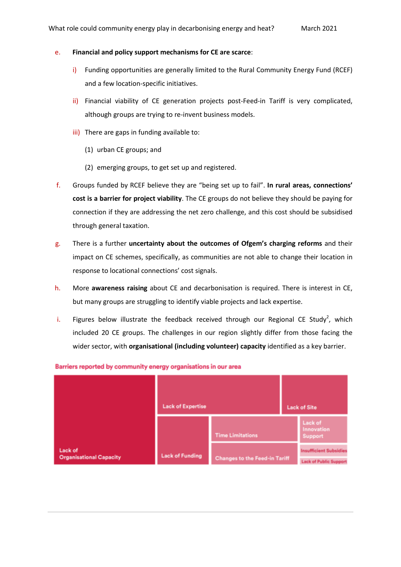#### e. **Financial and policy support mechanisms for CE are scarce**:

- i) Funding opportunities are generally limited to the Rural Community Energy Fund (RCEF) and a few location-specific initiatives.
- ii) Financial viability of CE generation projects post-Feed-in Tariff is very complicated, although groups are trying to re-invent business models.
- iii) There are gaps in funding available to:
	- (1) urban CE groups; and
	- (2) emerging groups, to get set up and registered.
- f. Groups funded by RCEF believe they are "being set up to fail". **In rural areas, connections' cost is a barrier for project viability**. The CE groups do not believe they should be paying for connection if they are addressing the net zero challenge, and this cost should be subsidised through general taxation.
- g. There is a further **uncertainty about the outcomes of Ofgem's charging reforms** and their impact on CE schemes, specifically, as communities are not able to change their location in response to locational connections' cost signals.
- h. More **awareness raising** about CE and decarbonisation is required. There is interest in CE, but many groups are struggling to identify viable projects and lack expertise.
- i. Figures below illustrate the feedback received through our Regional CE Stud[y](#page-1-1)<sup>2</sup>, which included 20 CE groups. The challenges in our region slightly differ from those facing the wider sector, with **organisational (including volunteer) capacity** identified as a key barrier.



Barriers reported by community energy organisations in our area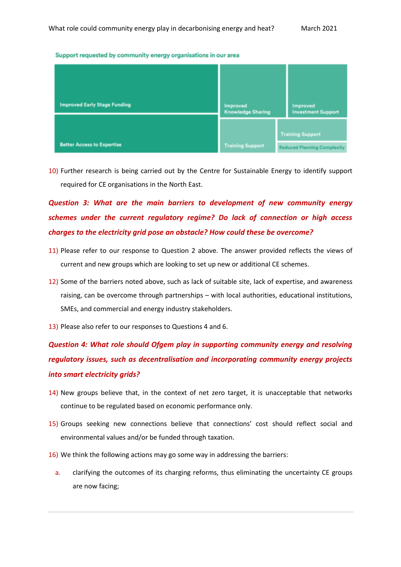#### Support requested by community energy organisations in our area

| <b>Improved Early Stage Funding</b> | <b>Improved</b><br><b>Knowledge Sharing</b> | <b>Improved</b><br><b>Investment Support</b>                  |
|-------------------------------------|---------------------------------------------|---------------------------------------------------------------|
| <b>Better Access to Expertise</b>   | <b>Training Support</b>                     | <b>Training Support</b><br><b>Reduced Planning Complexity</b> |

10) Further research is being carried out by the Centre for Sustainable Energy to identify support required for CE organisations in the North East.

# *Question 3: What are the main barriers to development of new community energy schemes under the current regulatory regime? Do lack of connection or high access charges to the electricity grid pose an obstacle? How could these be overcome?*

- 11) Please refer to our response to Question 2 above. The answer provided reflects the views of current and new groups which are looking to set up new or additional CE schemes.
- 12) Some of the barriers noted above, such as lack of suitable site, lack of expertise, and awareness raising, can be overcome through partnerships – with local authorities, educational institutions, SMEs, and commercial and energy industry stakeholders.
- 13) Please also refer to our responses to Questions 4 and 6.

*Question 4: What role should Ofgem play in supporting community energy and resolving regulatory issues, such as decentralisation and incorporating community energy projects into smart electricity grids?*

- 14) New groups believe that, in the context of net zero target, it is unacceptable that networks continue to be regulated based on economic performance only.
- 15) Groups seeking new connections believe that connections' cost should reflect social and environmental values and/or be funded through taxation.
- 16) We think the following actions may go some way in addressing the barriers:
	- a. clarifying the outcomes of its charging reforms, thus eliminating the uncertainty CE groups are now facing;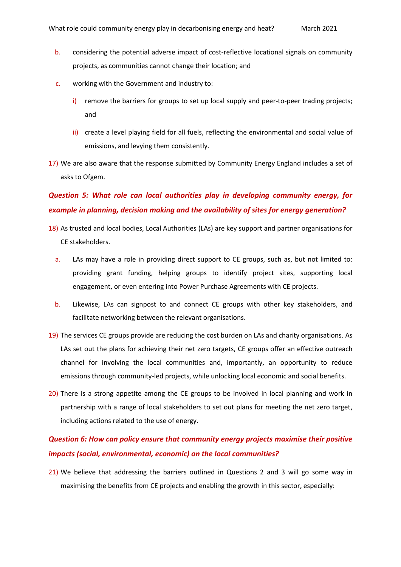- b. considering the potential adverse impact of cost-reflective locational signals on community projects, as communities cannot change their location; and
- c. working with the Government and industry to:
	- i) remove the barriers for groups to set up local supply and peer-to-peer trading projects; and
	- ii) create a level playing field for all fuels, reflecting the environmental and social value of emissions, and levying them consistently.
- 17) We are also aware that the response submitted by Community Energy England includes a set of asks to Ofgem.

# *Question 5: What role can local authorities play in developing community energy, for example in planning, decision making and the availability of sites for energy generation?*

- 18) As trusted and local bodies, Local Authorities (LAs) are key support and partner organisations for CE stakeholders.
	- a. LAs may have a role in providing direct support to CE groups, such as, but not limited to: providing grant funding, helping groups to identify project sites, supporting local engagement, or even entering into Power Purchase Agreements with CE projects.
	- b. Likewise, LAs can signpost to and connect CE groups with other key stakeholders, and facilitate networking between the relevant organisations.
- 19) The services CE groups provide are reducing the cost burden on LAs and charity organisations. As LAs set out the plans for achieving their net zero targets, CE groups offer an effective outreach channel for involving the local communities and, importantly, an opportunity to reduce emissions through community-led projects, while unlocking local economic and social benefits.
- 20) There is a strong appetite among the CE groups to be involved in local planning and work in partnership with a range of local stakeholders to set out plans for meeting the net zero target, including actions related to the use of energy.

### *Question 6: How can policy ensure that community energy projects maximise their positive impacts (social, environmental, economic) on the local communities?*

21) We believe that addressing the barriers outlined in Questions 2 and 3 will go some way in maximising the benefits from CE projects and enabling the growth in this sector, especially: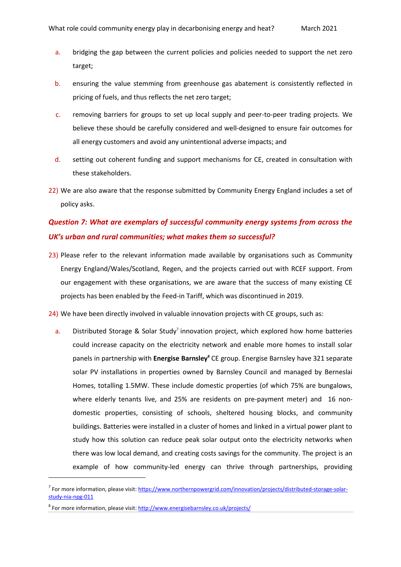- a. bridging the gap between the current policies and policies needed to support the net zero target;
- b. ensuring the value stemming from greenhouse gas abatement is consistently reflected in pricing of fuels, and thus reflects the net zero target;
- c. removing barriers for groups to set up local supply and peer-to-peer trading projects. We believe these should be carefully considered and well-designed to ensure fair outcomes for all energy customers and avoid any unintentional adverse impacts; and
- d. setting out coherent funding and support mechanisms for CE, created in consultation with these stakeholders.
- 22) We are also aware that the response submitted by Community Energy England includes a set of policy asks.

### *Question 7: What are exemplars of successful community energy systems from across the UK's urban and rural communities; what makes them so successful?*

- 23) Please refer to the relevant information made available by organisations such as Community Energy England/Wales/Scotland, Regen, and the projects carried out with RCEF support. From our engagement with these organisations, we are aware that the success of many existing CE projects has been enabled by the Feed-in Tariff, which was discontinued in 2019.
- 24) We have been directly involved in valuable innovation projects with CE groups, such as:
	- a. Distributed Storage & Solar Study<sup>7</sup> innovation project, which explored how home batteries could increase capacity on the electricity network and enable more homes to install solar panels in partnership with **Energise Barnsley<sup>8</sup>** CE group. Energise Barnsley have 321 separate solar PV installations in properties owned by Barnsley Council and managed by Berneslai Homes, totalling 1.5MW. These include domestic properties (of which 75% are bungalows, where elderly tenants live, and 25% are residents on pre-payment meter) and 16 nondomestic properties, consisting of schools, sheltered housing blocks, and community buildings. Batteries were installed in a cluster of homes and linked in a virtual power plant to study how this solution can reduce peak solar output onto the electricity networks when there was low local demand, and creating costs savings for the community. The project is an example of how community-led energy can thrive through partnerships, providing

1

<sup>&</sup>lt;sup>7</sup> For more information, please visit[: https://www.northernpowergrid.com/innovation/projects/distributed-storage-solar](https://www.northernpowergrid.com/innovation/projects/distributed-storage-solar-study-nia-npg-011)[study-nia-npg-011](https://www.northernpowergrid.com/innovation/projects/distributed-storage-solar-study-nia-npg-011)

<sup>&</sup>lt;sup>8</sup> For more information, please visit[: http://www.energisebarnsley.co.uk/projects/](http://www.energisebarnsley.co.uk/projects/)